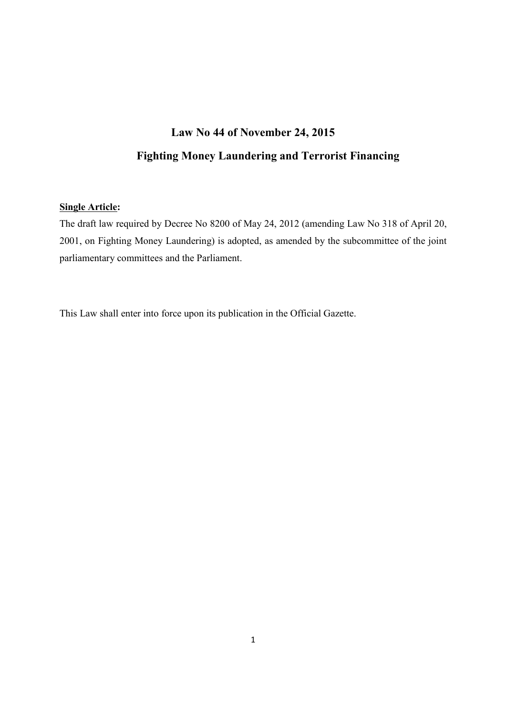# **Law No 44 of November 24, 2015**

# **Fighting Money Laundering and Terrorist Financing**

#### **Single Article:**

The draft law required by Decree No 8200 of May 24, 2012 (amending Law No 318 of April 20, 2001, on Fighting Money Laundering) is adopted, as amended by the subcommittee of the joint parliamentary committees and the Parliament.

This Law shall enter into force upon its publication in the Official Gazette.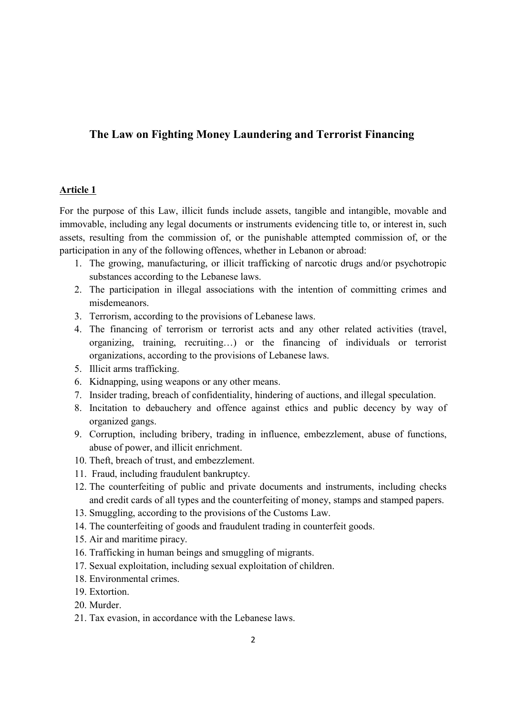### **The Law on Fighting Money Laundering and Terrorist Financing**

#### **Article 1**

For the purpose of this Law, illicit funds include assets, tangible and intangible, movable and immovable, including any legal documents or instruments evidencing title to, or interest in, such assets, resulting from the commission of, or the punishable attempted commission of, or the participation in any of the following offences, whether in Lebanon or abroad:

- 1. The growing, manufacturing, or illicit trafficking of narcotic drugs and/or psychotropic substances according to the Lebanese laws.
- 2. The participation in illegal associations with the intention of committing crimes and misdemeanors.
- 3. Terrorism, according to the provisions of Lebanese laws.
- 4. The financing of terrorism or terrorist acts and any other related activities (travel, organizing, training, recruiting…) or the financing of individuals or terrorist organizations, according to the provisions of Lebanese laws.
- 5. Illicit arms trafficking.
- 6. Kidnapping, using weapons or any other means.
- 7. Insider trading, breach of confidentiality, hindering of auctions, and illegal speculation.
- 8. Incitation to debauchery and offence against ethics and public decency by way of organized gangs.
- 9. Corruption, including bribery, trading in influence, embezzlement, abuse of functions, abuse of power, and illicit enrichment.
- 10. Theft, breach of trust, and embezzlement.
- 11. Fraud, including fraudulent bankruptcy.
- 12. The counterfeiting of public and private documents and instruments, including checks and credit cards of all types and the counterfeiting of money, stamps and stamped papers.
- 13. Smuggling, according to the provisions of the Customs Law.
- 14. The counterfeiting of goods and fraudulent trading in counterfeit goods.
- 15. Air and maritime piracy.
- 16. Trafficking in human beings and smuggling of migrants.
- 17. Sexual exploitation, including sexual exploitation of children.
- 18. Environmental crimes.
- 19. Extortion.
- 20. Murder.
- 21. Tax evasion, in accordance with the Lebanese laws.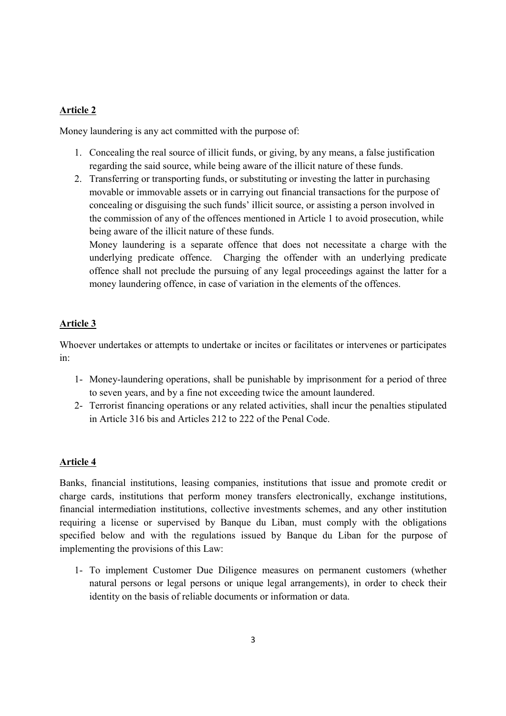### **Article 2**

Money laundering is any act committed with the purpose of:

- 1. Concealing the real source of illicit funds, or giving, by any means, a false justification regarding the said source, while being aware of the illicit nature of these funds.
- 2. Transferring or transporting funds, or substituting or investing the latter in purchasing movable or immovable assets or in carrying out financial transactions for the purpose of concealing or disguising the such funds' illicit source, or assisting a person involved in the commission of any of the offences mentioned in Article 1 to avoid prosecution, while being aware of the illicit nature of these funds.

Money laundering is a separate offence that does not necessitate a charge with the underlying predicate offence. Charging the offender with an underlying predicate offence shall not preclude the pursuing of any legal proceedings against the latter for a money laundering offence, in case of variation in the elements of the offences.

## **Article 3**

Whoever undertakes or attempts to undertake or incites or facilitates or intervenes or participates in:

- 1- Money-laundering operations, shall be punishable by imprisonment for a period of three to seven years, and by a fine not exceeding twice the amount laundered.
- 2- Terrorist financing operations or any related activities, shall incur the penalties stipulated in Article 316 bis and Articles 212 to 222 of the Penal Code.

## **Article 4**

Banks, financial institutions, leasing companies, institutions that issue and promote credit or charge cards, institutions that perform money transfers electronically, exchange institutions, financial intermediation institutions, collective investments schemes, and any other institution requiring a license or supervised by Banque du Liban, must comply with the obligations specified below and with the regulations issued by Banque du Liban for the purpose of implementing the provisions of this Law:

1- To implement Customer Due Diligence measures on permanent customers (whether natural persons or legal persons or unique legal arrangements), in order to check their identity on the basis of reliable documents or information or data.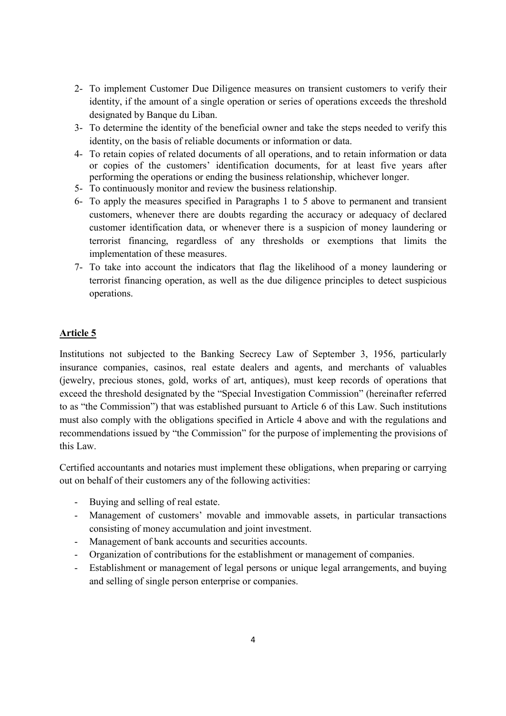- 2- To implement Customer Due Diligence measures on transient customers to verify their identity, if the amount of a single operation or series of operations exceeds the threshold designated by Banque du Liban.
- 3- To determine the identity of the beneficial owner and take the steps needed to verify this identity, on the basis of reliable documents or information or data.
- 4- To retain copies of related documents of all operations, and to retain information or data or copies of the customers' identification documents, for at least five years after performing the operations or ending the business relationship, whichever longer.
- 5- To continuously monitor and review the business relationship.
- 6- To apply the measures specified in Paragraphs 1 to 5 above to permanent and transient customers, whenever there are doubts regarding the accuracy or adequacy of declared customer identification data, or whenever there is a suspicion of money laundering or terrorist financing, regardless of any thresholds or exemptions that limits the implementation of these measures.
- 7- To take into account the indicators that flag the likelihood of a money laundering or terrorist financing operation, as well as the due diligence principles to detect suspicious operations.

### **Article 5**

Institutions not subjected to the Banking Secrecy Law of September 3, 1956, particularly insurance companies, casinos, real estate dealers and agents, and merchants of valuables (jewelry, precious stones, gold, works of art, antiques), must keep records of operations that exceed the threshold designated by the "Special Investigation Commission" (hereinafter referred to as "the Commission") that was established pursuant to Article 6 of this Law. Such institutions must also comply with the obligations specified in Article 4 above and with the regulations and recommendations issued by "the Commission" for the purpose of implementing the provisions of this Law.

Certified accountants and notaries must implement these obligations, when preparing or carrying out on behalf of their customers any of the following activities:

- Buying and selling of real estate.
- Management of customers' movable and immovable assets, in particular transactions consisting of money accumulation and joint investment.
- Management of bank accounts and securities accounts.
- Organization of contributions for the establishment or management of companies.
- Establishment or management of legal persons or unique legal arrangements, and buying and selling of single person enterprise or companies.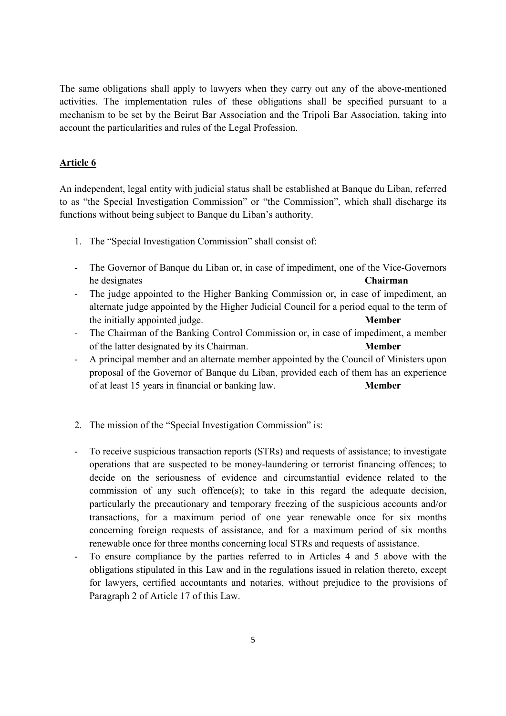The same obligations shall apply to lawyers when they carry out any of the above-mentioned activities. The implementation rules of these obligations shall be specified pursuant to a mechanism to be set by the Beirut Bar Association and the Tripoli Bar Association, taking into account the particularities and rules of the Legal Profession.

### **Article 6**

An independent, legal entity with judicial status shall be established at Banque du Liban, referred to as "the Special Investigation Commission" or "the Commission", which shall discharge its functions without being subject to Banque du Liban's authority.

- 1. The "Special Investigation Commission" shall consist of:
- The Governor of Banque du Liban or, in case of impediment, one of the Vice-Governors he designates **Chairman**
- The judge appointed to the Higher Banking Commission or, in case of impediment, an alternate judge appointed by the Higher Judicial Council for a period equal to the term of the initially appointed judge. **Member**
- The Chairman of the Banking Control Commission or, in case of impediment, a member of the latter designated by its Chairman. **Member**
- A principal member and an alternate member appointed by the Council of Ministers upon proposal of the Governor of Banque du Liban, provided each of them has an experience of at least 15 years in financial or banking law. **Member**
- 2. The mission of the "Special Investigation Commission" is:
- To receive suspicious transaction reports (STRs) and requests of assistance; to investigate operations that are suspected to be money-laundering or terrorist financing offences; to decide on the seriousness of evidence and circumstantial evidence related to the commission of any such offence(s); to take in this regard the adequate decision, particularly the precautionary and temporary freezing of the suspicious accounts and/or transactions, for a maximum period of one year renewable once for six months concerning foreign requests of assistance, and for a maximum period of six months renewable once for three months concerning local STRs and requests of assistance.
- To ensure compliance by the parties referred to in Articles 4 and 5 above with the obligations stipulated in this Law and in the regulations issued in relation thereto, except for lawyers, certified accountants and notaries, without prejudice to the provisions of Paragraph 2 of Article 17 of this Law.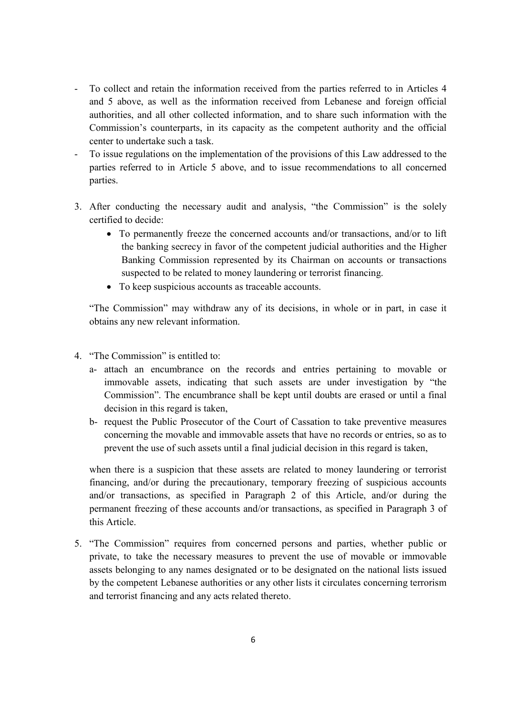- To collect and retain the information received from the parties referred to in Articles 4 and 5 above, as well as the information received from Lebanese and foreign official authorities, and all other collected information, and to share such information with the Commission's counterparts, in its capacity as the competent authority and the official center to undertake such a task.
- To issue regulations on the implementation of the provisions of this Law addressed to the parties referred to in Article 5 above, and to issue recommendations to all concerned parties.
- 3. After conducting the necessary audit and analysis, "the Commission" is the solely certified to decide:
	- To permanently freeze the concerned accounts and/or transactions, and/or to lift the banking secrecy in favor of the competent judicial authorities and the Higher Banking Commission represented by its Chairman on accounts or transactions suspected to be related to money laundering or terrorist financing.
	- To keep suspicious accounts as traceable accounts.

"The Commission" may withdraw any of its decisions, in whole or in part, in case it obtains any new relevant information.

- 4. "The Commission" is entitled to:
	- a- attach an encumbrance on the records and entries pertaining to movable or immovable assets, indicating that such assets are under investigation by "the Commission". The encumbrance shall be kept until doubts are erased or until a final decision in this regard is taken,
	- b- request the Public Prosecutor of the Court of Cassation to take preventive measures concerning the movable and immovable assets that have no records or entries, so as to prevent the use of such assets until a final judicial decision in this regard is taken,

when there is a suspicion that these assets are related to money laundering or terrorist financing, and/or during the precautionary, temporary freezing of suspicious accounts and/or transactions, as specified in Paragraph 2 of this Article, and/or during the permanent freezing of these accounts and/or transactions, as specified in Paragraph 3 of this Article.

5. "The Commission" requires from concerned persons and parties, whether public or private, to take the necessary measures to prevent the use of movable or immovable assets belonging to any names designated or to be designated on the national lists issued by the competent Lebanese authorities or any other lists it circulates concerning terrorism and terrorist financing and any acts related thereto.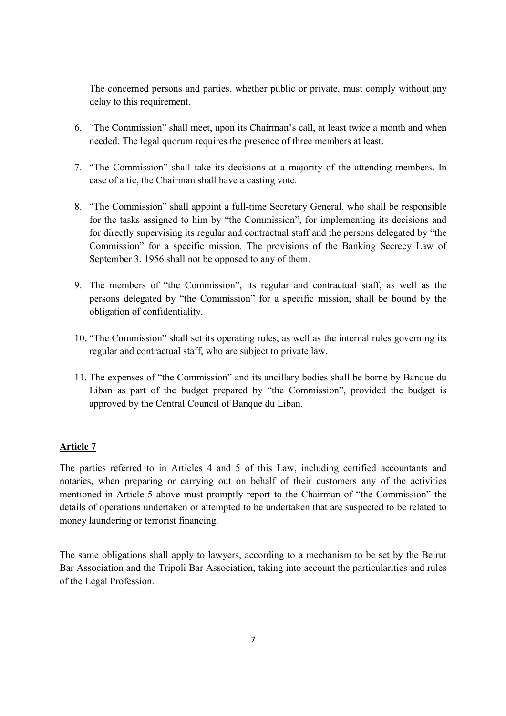The concerned persons and parties, whether public or private, must comply without any delay to this requirement.

- 6. "The Commission" shall meet, upon its Chairman's call, at least twice a month and when needed. The legal quorum requires the presence of three members at least.
- 7. "The Commission" shall take its decisions at a majority of the attending members. In case of a tie, the Chairman shall have a casting vote.
- 8. "The Commission" shall appoint a full-time Secretary General, who shall be responsible for the tasks assigned to him by "the Commission", for implementing its decisions and for directly supervising its regular and contractual staff and the persons delegated by "the Commission" for a specific mission. The provisions of the Banking Secrecy Law of September 3, 1956 shall not be opposed to any of them.
- 9. The members of "the Commission", its regular and contractual staff, as well as the persons delegated by "the Commission" for a specific mission, shall be bound by the obligation of confidentiality.
- 10. "The Commission" shall set its operating rules, as well as the internal rules governing its regular and contractual staff, who are subject to private law.
- 11. The expenses of "the Commission" and its ancillary bodies shall be borne by Banque du Liban as part of the budget prepared by "the Commission", provided the budget is approved by the Central Council of Banque du Liban.

### **Article 7**

The parties referred to in Articles 4 and 5 of this Law, including certified accountants and notaries, when preparing or carrying out on behalf of their customers any of the activities mentioned in Article 5 above must promptly report to the Chairman of "the Commission" the details of operations undertaken or attempted to be undertaken that are suspected to be related to money laundering or terrorist financing.

The same obligations shall apply to lawyers, according to a mechanism to be set by the Beirut Bar Association and the Tripoli Bar Association, taking into account the particularities and rules of the Legal Profession.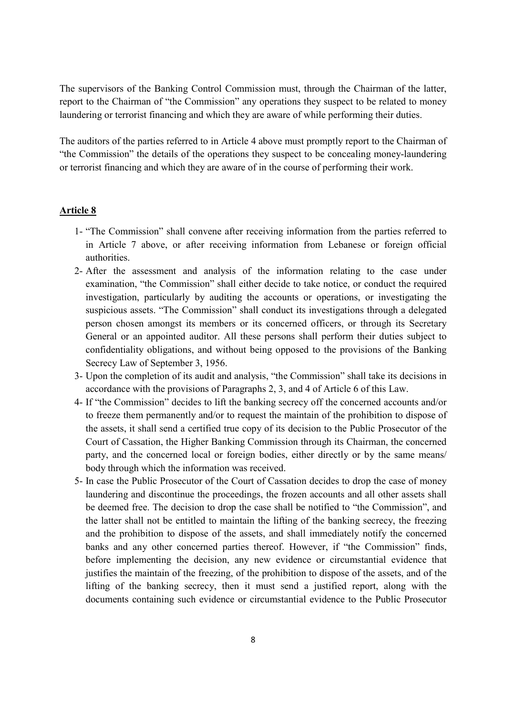The supervisors of the Banking Control Commission must, through the Chairman of the latter, report to the Chairman of "the Commission" any operations they suspect to be related to money laundering or terrorist financing and which they are aware of while performing their duties.

The auditors of the parties referred to in Article 4 above must promptly report to the Chairman of "the Commission" the details of the operations they suspect to be concealing money-laundering or terrorist financing and which they are aware of in the course of performing their work.

#### **Article 8**

- 1- "The Commission" shall convene after receiving information from the parties referred to in Article 7 above, or after receiving information from Lebanese or foreign official authorities.
- 2- After the assessment and analysis of the information relating to the case under examination, "the Commission" shall either decide to take notice, or conduct the required investigation, particularly by auditing the accounts or operations, or investigating the suspicious assets. "The Commission" shall conduct its investigations through a delegated person chosen amongst its members or its concerned officers, or through its Secretary General or an appointed auditor. All these persons shall perform their duties subject to confidentiality obligations, and without being opposed to the provisions of the Banking Secrecy Law of September 3, 1956.
- 3- Upon the completion of its audit and analysis, "the Commission" shall take its decisions in accordance with the provisions of Paragraphs 2, 3, and 4 of Article 6 of this Law.
- 4- If "the Commission" decides to lift the banking secrecy off the concerned accounts and/or to freeze them permanently and/or to request the maintain of the prohibition to dispose of the assets, it shall send a certified true copy of its decision to the Public Prosecutor of the Court of Cassation, the Higher Banking Commission through its Chairman, the concerned party, and the concerned local or foreign bodies, either directly or by the same means/ body through which the information was received.
- 5- In case the Public Prosecutor of the Court of Cassation decides to drop the case of money laundering and discontinue the proceedings, the frozen accounts and all other assets shall be deemed free. The decision to drop the case shall be notified to "the Commission", and the latter shall not be entitled to maintain the lifting of the banking secrecy, the freezing and the prohibition to dispose of the assets, and shall immediately notify the concerned banks and any other concerned parties thereof. However, if "the Commission" finds, before implementing the decision, any new evidence or circumstantial evidence that justifies the maintain of the freezing, of the prohibition to dispose of the assets, and of the lifting of the banking secrecy, then it must send a justified report, along with the documents containing such evidence or circumstantial evidence to the Public Prosecutor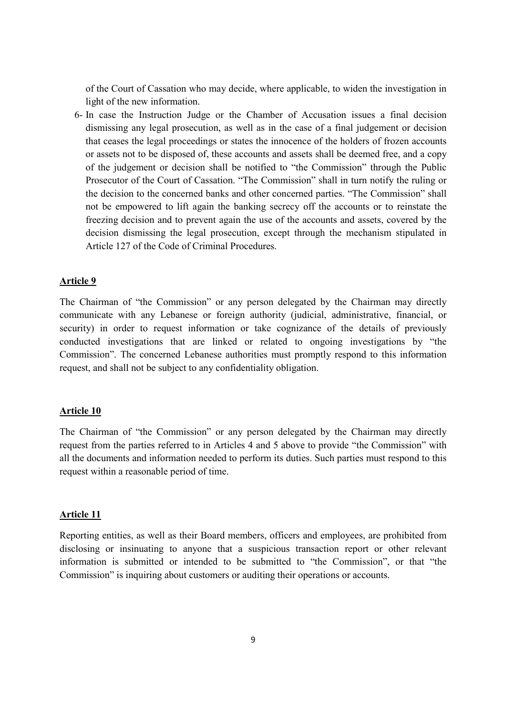of the Court of Cassation who may decide, where applicable, to widen the investigation in light of the new information.

6- In case the Instruction Judge or the Chamber of Accusation issues a final decision dismissing any legal prosecution, as well as in the case of a final judgement or decision that ceases the legal proceedings or states the innocence of the holders of frozen accounts or assets not to be disposed of, these accounts and assets shall be deemed free, and a copy of the judgement or decision shall be notified to "the Commission" through the Public Prosecutor of the Court of Cassation. "The Commission" shall in turn notify the ruling or the decision to the concerned banks and other concerned parties. "The Commission" shall not be empowered to lift again the banking secrecy off the accounts or to reinstate the freezing decision and to prevent again the use of the accounts and assets, covered by the decision dismissing the legal prosecution, except through the mechanism stipulated in Article 127 of the Code of Criminal Procedures.

#### **Article 9**

The Chairman of "the Commission" or any person delegated by the Chairman may directly communicate with any Lebanese or foreign authority (judicial, administrative, financial, or security) in order to request information or take cognizance of the details of previously conducted investigations that are linked or related to ongoing investigations by "the Commission". The concerned Lebanese authorities must promptly respond to this information request, and shall not be subject to any confidentiality obligation.

#### **Article 10**

The Chairman of "the Commission" or any person delegated by the Chairman may directly request from the parties referred to in Articles 4 and 5 above to provide "the Commission" with all the documents and information needed to perform its duties. Such parties must respond to this request within a reasonable period of time.

#### **Article 11**

Reporting entities, as well as their Board members, officers and employees, are prohibited from disclosing or insinuating to anyone that a suspicious transaction report or other relevant information is submitted or intended to be submitted to "the Commission", or that "the Commission" is inquiring about customers or auditing their operations or accounts.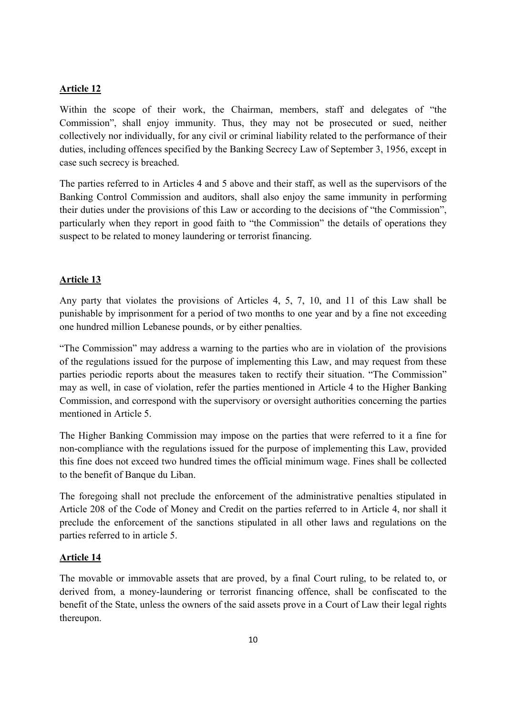#### **Article 12**

Within the scope of their work, the Chairman, members, staff and delegates of "the Commission", shall enjoy immunity. Thus, they may not be prosecuted or sued, neither collectively nor individually, for any civil or criminal liability related to the performance of their duties, including offences specified by the Banking Secrecy Law of September 3, 1956, except in case such secrecy is breached.

The parties referred to in Articles 4 and 5 above and their staff, as well as the supervisors of the Banking Control Commission and auditors, shall also enjoy the same immunity in performing their duties under the provisions of this Law or according to the decisions of "the Commission", particularly when they report in good faith to "the Commission" the details of operations they suspect to be related to money laundering or terrorist financing.

#### **Article 13**

Any party that violates the provisions of Articles 4, 5, 7, 10, and 11 of this Law shall be punishable by imprisonment for a period of two months to one year and by a fine not exceeding one hundred million Lebanese pounds, or by either penalties.

"The Commission" may address a warning to the parties who are in violation of the provisions of the regulations issued for the purpose of implementing this Law, and may request from these parties periodic reports about the measures taken to rectify their situation. "The Commission" may as well, in case of violation, refer the parties mentioned in Article 4 to the Higher Banking Commission, and correspond with the supervisory or oversight authorities concerning the parties mentioned in Article 5

The Higher Banking Commission may impose on the parties that were referred to it a fine for non-compliance with the regulations issued for the purpose of implementing this Law, provided this fine does not exceed two hundred times the official minimum wage. Fines shall be collected to the benefit of Banque du Liban.

The foregoing shall not preclude the enforcement of the administrative penalties stipulated in Article 208 of the Code of Money and Credit on the parties referred to in Article 4, nor shall it preclude the enforcement of the sanctions stipulated in all other laws and regulations on the parties referred to in article 5.

#### **Article 14**

The movable or immovable assets that are proved, by a final Court ruling, to be related to, or derived from, a money-laundering or terrorist financing offence, shall be confiscated to the benefit of the State, unless the owners of the said assets prove in a Court of Law their legal rights thereupon.